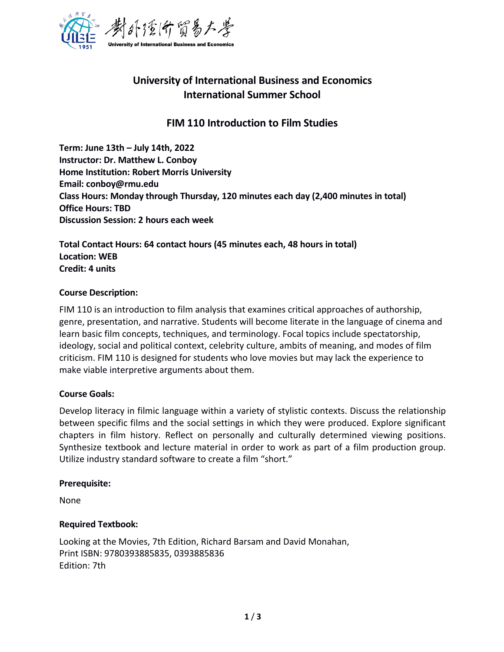

# **University of International Business and Economics International Summer School**

## **FIM 110 Introduction to Film Studies**

**Term: June 13th –July 14th, 2022 Instructor: Dr. Matthew L. Conboy Home Institution: Robert Morris University Email: conboy@rmu.edu Class Hours: Monday through Thursday, 120 minutes each day (2,400 minutes in total) Office Hours: TBD Discussion Session: 2 hours each week**

**Total Contact Hours: 64 contact hours (45 minutes each, 48 hours in total) Location: WEB Credit: 4 units**

#### **Course Description:**

FIM 110 is an introduction to film analysis that examines critical approaches of authorship, genre, presentation, and narrative. Students will become literate in the language of cinema and learn basic film concepts, techniques, and terminology. Focal topics include spectatorship, ideology, social and political context, celebrity culture, ambits of meaning, and modes of film criticism. FIM 110 is designed for students who love movies but may lack the experience to make viable interpretive arguments about them.

#### **Course Goals:**

Develop literacy in filmic language within a variety of stylistic contexts. Discuss the relationship between specific films and the social settings in which they were produced. Explore significant chapters in film history. Reflect on personally and culturally determined viewing positions. Synthesize textbook and lecture material in order to work as part of a film production group. Utilize industry standard software to create a film "short."

#### **Prerequisite:**

None

#### **Required Textbook:**

Looking at the Movies, 7th Edition, Richard Barsam and David Monahan, Print ISBN: 9780393885835, 0393885836 Edition: 7th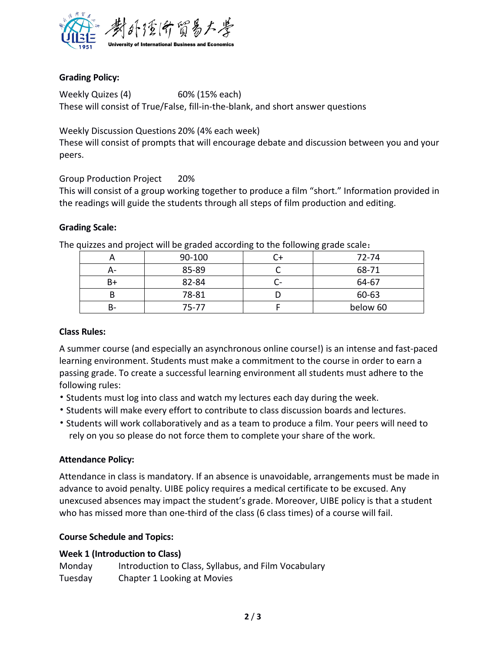

### **Grading Policy:**

Weekly Quizes (4) 60% (15% each) These will consist of True/False, fill-in-the-blank, and short answer questions

Weekly Discussion Questions 20% (4% each week)

These will consist of prompts that will encourage debate and discussion between you and your peers.

### Group Production Project 20%

This will consist of a group working together to produce a film "short." Information provided in the readings will guide the students through all steps of film production and editing.

### **Grading Scale:**

|    | galeco and project will be graded according to the rollowing grade scale. |          |
|----|---------------------------------------------------------------------------|----------|
|    | 90-100                                                                    | 72-74    |
| A- | 85-89                                                                     | 68-71    |
| B+ | 82-84                                                                     | 64-67    |
| В  | 78-81                                                                     | 60-63    |
| B- | 75-77                                                                     | below 60 |

The quizzes and project will be graded according to the following grade scale:

### **Class Rules:**

A summer course (and especially an asynchronous online course!) is an intense and fast-paced learning environment. Students must make a commitment to the course in order to earn a passing grade. To create a successful learning environment all students must adhere to the following rules:

- Students must log into class and watch my lectures each day during the week.
- Students will make every effort to contribute to class discussion boards and lectures.
- Students will work collaboratively and as a team to produce a film. Your peers will need to rely on you so please do not force them to complete your share of the work.

### **Attendance Policy:**

Attendance in class is mandatory. If an absence is unavoidable, arrangements must be made in advance to avoid penalty. UIBE policy requires a medical certificate to be excused. Any unexcused absences may impact the student's grade. Moreover, UIBE policy is that a student who has missed more than one-third of the class (6 class times) of a course will fail.

### **Course Schedule and Topics:**

#### **Week 1 (Introduction to Class)**

| Monday  | Introduction to Class, Syllabus, and Film Vocabulary |
|---------|------------------------------------------------------|
| Tuesday | Chapter 1 Looking at Movies                          |